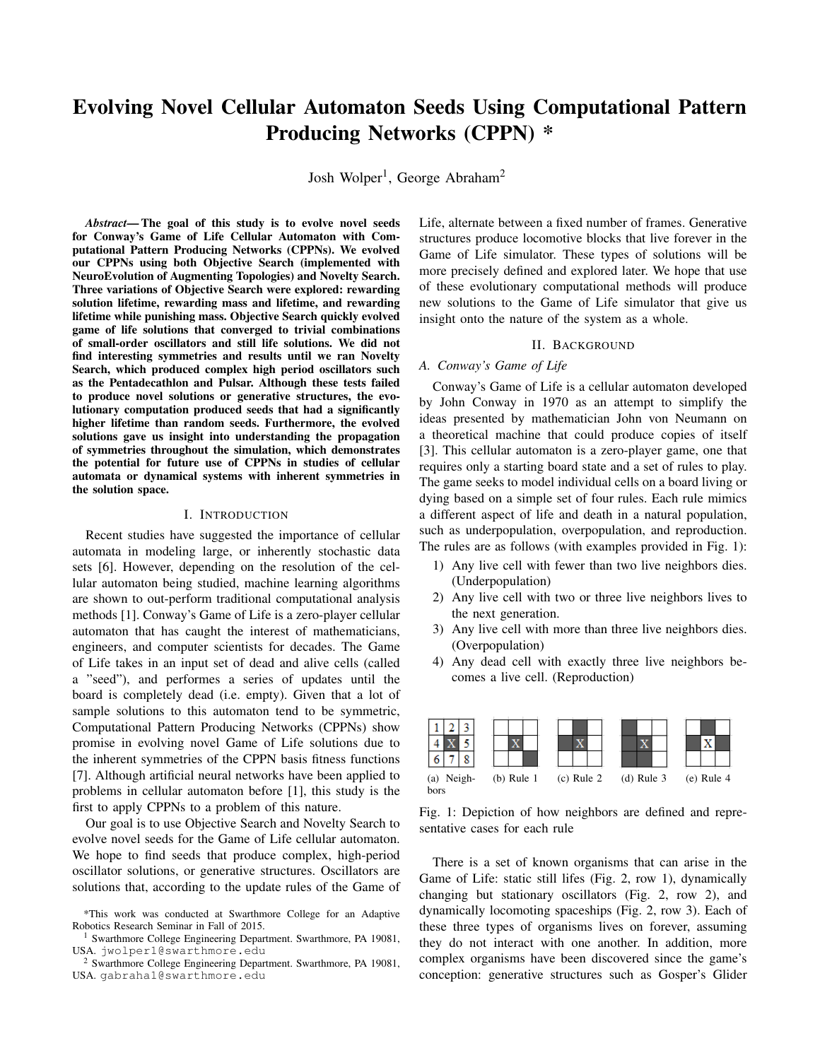# Evolving Novel Cellular Automaton Seeds Using Computational Pattern Producing Networks (CPPN) \*

Josh Wolper<sup>1</sup>, George Abraham<sup>2</sup>

*Abstract*— The goal of this study is to evolve novel seeds for Conway's Game of Life Cellular Automaton with Computational Pattern Producing Networks (CPPNs). We evolved our CPPNs using both Objective Search (implemented with NeuroEvolution of Augmenting Topologies) and Novelty Search. Three variations of Objective Search were explored: rewarding solution lifetime, rewarding mass and lifetime, and rewarding lifetime while punishing mass. Objective Search quickly evolved game of life solutions that converged to trivial combinations of small-order oscillators and still life solutions. We did not find interesting symmetries and results until we ran Novelty Search, which produced complex high period oscillators such as the Pentadecathlon and Pulsar. Although these tests failed to produce novel solutions or generative structures, the evolutionary computation produced seeds that had a significantly higher lifetime than random seeds. Furthermore, the evolved solutions gave us insight into understanding the propagation of symmetries throughout the simulation, which demonstrates the potential for future use of CPPNs in studies of cellular automata or dynamical systems with inherent symmetries in the solution space.

#### I. INTRODUCTION

Recent studies have suggested the importance of cellular automata in modeling large, or inherently stochastic data sets [6]. However, depending on the resolution of the cellular automaton being studied, machine learning algorithms are shown to out-perform traditional computational analysis methods [1]. Conway's Game of Life is a zero-player cellular automaton that has caught the interest of mathematicians, engineers, and computer scientists for decades. The Game of Life takes in an input set of dead and alive cells (called a "seed"), and performes a series of updates until the board is completely dead (i.e. empty). Given that a lot of sample solutions to this automaton tend to be symmetric, Computational Pattern Producing Networks (CPPNs) show promise in evolving novel Game of Life solutions due to the inherent symmetries of the CPPN basis fitness functions [7]. Although artificial neural networks have been applied to problems in cellular automaton before [1], this study is the first to apply CPPNs to a problem of this nature.

Our goal is to use Objective Search and Novelty Search to evolve novel seeds for the Game of Life cellular automaton. We hope to find seeds that produce complex, high-period oscillator solutions, or generative structures. Oscillators are solutions that, according to the update rules of the Game of

Life, alternate between a fixed number of frames. Generative structures produce locomotive blocks that live forever in the Game of Life simulator. These types of solutions will be more precisely defined and explored later. We hope that use of these evolutionary computational methods will produce new solutions to the Game of Life simulator that give us insight onto the nature of the system as a whole.

#### II. BACKGROUND

## *A. Conway's Game of Life*

Conway's Game of Life is a cellular automaton developed by John Conway in 1970 as an attempt to simplify the ideas presented by mathematician John von Neumann on a theoretical machine that could produce copies of itself [3]. This cellular automaton is a zero-player game, one that requires only a starting board state and a set of rules to play. The game seeks to model individual cells on a board living or dying based on a simple set of four rules. Each rule mimics a different aspect of life and death in a natural population, such as underpopulation, overpopulation, and reproduction. The rules are as follows (with examples provided in Fig. 1):

- 1) Any live cell with fewer than two live neighbors dies. (Underpopulation)
- 2) Any live cell with two or three live neighbors lives to the next generation.
- 3) Any live cell with more than three live neighbors dies. (Overpopulation)
- 4) Any dead cell with exactly three live neighbors becomes a live cell. (Reproduction)



Fig. 1: Depiction of how neighbors are defined and representative cases for each rule

There is a set of known organisms that can arise in the Game of Life: static still lifes (Fig. 2, row 1), dynamically changing but stationary oscillators (Fig. 2, row 2), and dynamically locomoting spaceships (Fig. 2, row 3). Each of these three types of organisms lives on forever, assuming they do not interact with one another. In addition, more complex organisms have been discovered since the game's conception: generative structures such as Gosper's Glider

<sup>\*</sup>This work was conducted at Swarthmore College for an Adaptive Robotics Research Seminar in Fall of 2015.

<sup>1</sup> Swarthmore College Engineering Department. Swarthmore, PA 19081, USA. jwolper1@swarthmore.edu

<sup>2</sup> Swarthmore College Engineering Department. Swarthmore, PA 19081, USA. gabraha1@swarthmore.edu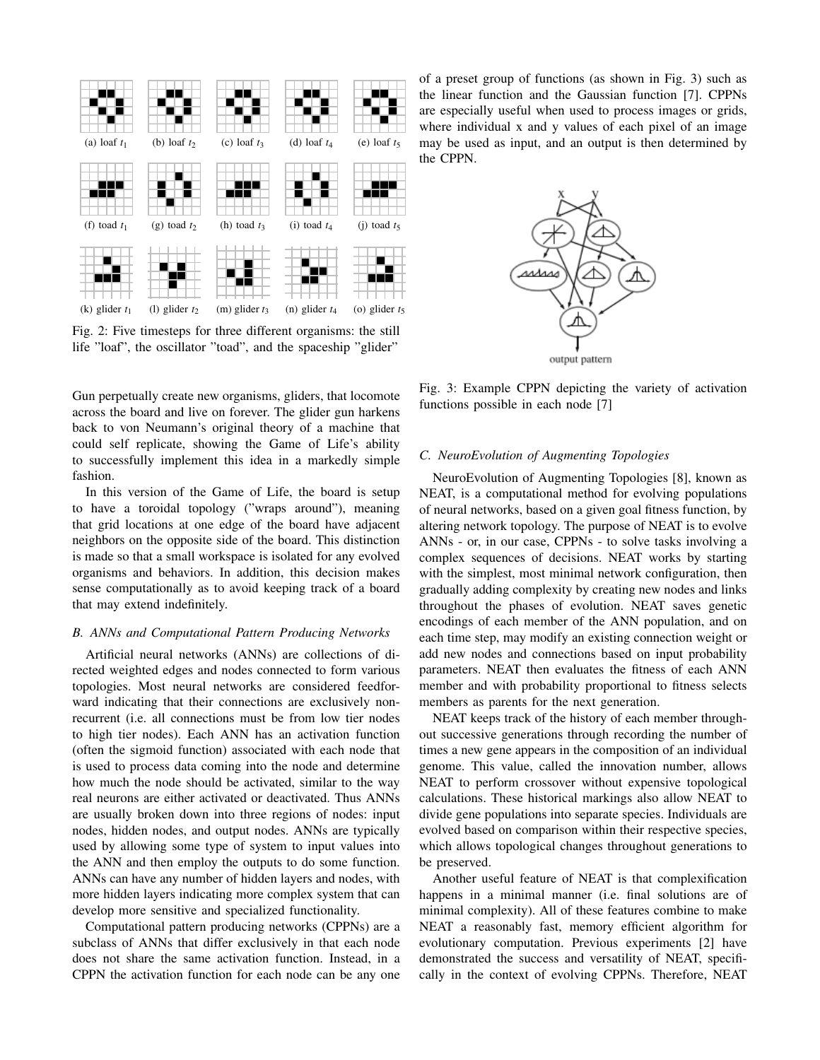

Fig. 2: Five timesteps for three different organisms: the still life "loaf", the oscillator "toad", and the spaceship "glider"

Gun perpetually create new organisms, gliders, that locomote across the board and live on forever. The glider gun harkens back to von Neumann's original theory of a machine that could self replicate, showing the Game of Life's ability to successfully implement this idea in a markedly simple fashion.

In this version of the Game of Life, the board is setup to have a toroidal topology ("wraps around"), meaning that grid locations at one edge of the board have adjacent neighbors on the opposite side of the board. This distinction is made so that a small workspace is isolated for any evolved organisms and behaviors. In addition, this decision makes sense computationally as to avoid keeping track of a board that may extend indefinitely.

## *B. ANNs and Computational Pattern Producing Networks*

Artificial neural networks (ANNs) are collections of directed weighted edges and nodes connected to form various topologies. Most neural networks are considered feedforward indicating that their connections are exclusively nonrecurrent (i.e. all connections must be from low tier nodes to high tier nodes). Each ANN has an activation function (often the sigmoid function) associated with each node that is used to process data coming into the node and determine how much the node should be activated, similar to the way real neurons are either activated or deactivated. Thus ANNs are usually broken down into three regions of nodes: input nodes, hidden nodes, and output nodes. ANNs are typically used by allowing some type of system to input values into the ANN and then employ the outputs to do some function. ANNs can have any number of hidden layers and nodes, with more hidden layers indicating more complex system that can develop more sensitive and specialized functionality.

Computational pattern producing networks (CPPNs) are a subclass of ANNs that differ exclusively in that each node does not share the same activation function. Instead, in a CPPN the activation function for each node can be any one

of a preset group of functions (as shown in Fig. 3) such as the linear function and the Gaussian function [7]. CPPNs are especially useful when used to process images or grids, where individual x and y values of each pixel of an image may be used as input, and an output is then determined by the CPPN.



Fig. 3: Example CPPN depicting the variety of activation functions possible in each node [7]

## *C. NeuroEvolution of Augmenting Topologies*

NeuroEvolution of Augmenting Topologies [8], known as NEAT, is a computational method for evolving populations of neural networks, based on a given goal fitness function, by altering network topology. The purpose of NEAT is to evolve ANNs - or, in our case, CPPNs - to solve tasks involving a complex sequences of decisions. NEAT works by starting with the simplest, most minimal network configuration, then gradually adding complexity by creating new nodes and links throughout the phases of evolution. NEAT saves genetic encodings of each member of the ANN population, and on each time step, may modify an existing connection weight or add new nodes and connections based on input probability parameters. NEAT then evaluates the fitness of each ANN member and with probability proportional to fitness selects members as parents for the next generation.

NEAT keeps track of the history of each member throughout successive generations through recording the number of times a new gene appears in the composition of an individual genome. This value, called the innovation number, allows NEAT to perform crossover without expensive topological calculations. These historical markings also allow NEAT to divide gene populations into separate species. Individuals are evolved based on comparison within their respective species, which allows topological changes throughout generations to be preserved.

Another useful feature of NEAT is that complexification happens in a minimal manner (i.e. final solutions are of minimal complexity). All of these features combine to make NEAT a reasonably fast, memory efficient algorithm for evolutionary computation. Previous experiments [2] have demonstrated the success and versatility of NEAT, specifically in the context of evolving CPPNs. Therefore, NEAT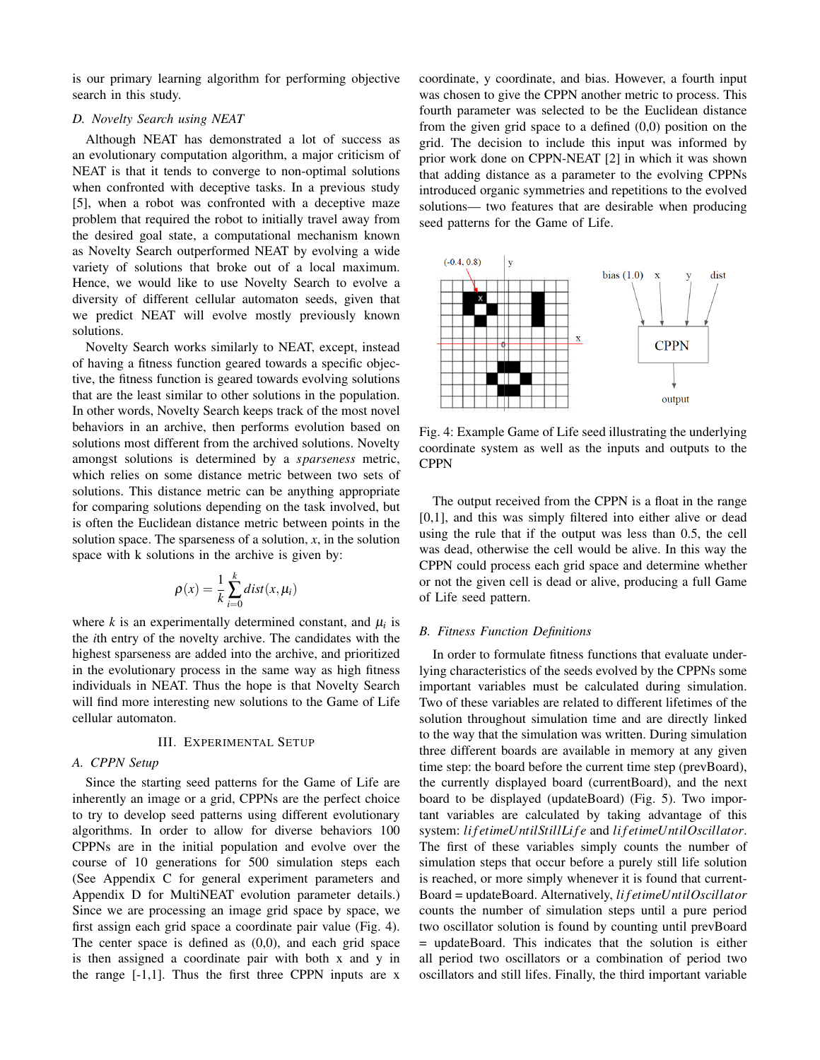is our primary learning algorithm for performing objective search in this study.

## *D. Novelty Search using NEAT*

Although NEAT has demonstrated a lot of success as an evolutionary computation algorithm, a major criticism of NEAT is that it tends to converge to non-optimal solutions when confronted with deceptive tasks. In a previous study [5], when a robot was confronted with a deceptive maze problem that required the robot to initially travel away from the desired goal state, a computational mechanism known as Novelty Search outperformed NEAT by evolving a wide variety of solutions that broke out of a local maximum. Hence, we would like to use Novelty Search to evolve a diversity of different cellular automaton seeds, given that we predict NEAT will evolve mostly previously known solutions.

Novelty Search works similarly to NEAT, except, instead of having a fitness function geared towards a specific objective, the fitness function is geared towards evolving solutions that are the least similar to other solutions in the population. In other words, Novelty Search keeps track of the most novel behaviors in an archive, then performs evolution based on solutions most different from the archived solutions. Novelty amongst solutions is determined by a *sparseness* metric, which relies on some distance metric between two sets of solutions. This distance metric can be anything appropriate for comparing solutions depending on the task involved, but is often the Euclidean distance metric between points in the solution space. The sparseness of a solution,  $x$ , in the solution space with k solutions in the archive is given by:

$$
\rho(x) = \frac{1}{k} \sum_{i=0}^{k} dist(x, \mu_i)
$$

where  $k$  is an experimentally determined constant, and  $\mu_i$  is the *i*th entry of the novelty archive. The candidates with the highest sparseness are added into the archive, and prioritized in the evolutionary process in the same way as high fitness individuals in NEAT. Thus the hope is that Novelty Search will find more interesting new solutions to the Game of Life cellular automaton.

## III. EXPERIMENTAL SETUP

## *A. CPPN Setup*

Since the starting seed patterns for the Game of Life are inherently an image or a grid, CPPNs are the perfect choice to try to develop seed patterns using different evolutionary algorithms. In order to allow for diverse behaviors 100 CPPNs are in the initial population and evolve over the course of 10 generations for 500 simulation steps each (See Appendix C for general experiment parameters and Appendix D for MultiNEAT evolution parameter details.) Since we are processing an image grid space by space, we first assign each grid space a coordinate pair value (Fig. 4). The center space is defined as (0,0), and each grid space is then assigned a coordinate pair with both x and y in the range  $[-1,1]$ . Thus the first three CPPN inputs are x

coordinate, y coordinate, and bias. However, a fourth input was chosen to give the CPPN another metric to process. This fourth parameter was selected to be the Euclidean distance from the given grid space to a defined (0,0) position on the grid. The decision to include this input was informed by prior work done on CPPN-NEAT [2] in which it was shown that adding distance as a parameter to the evolving CPPNs introduced organic symmetries and repetitions to the evolved solutions— two features that are desirable when producing seed patterns for the Game of Life.



Fig. 4: Example Game of Life seed illustrating the underlying coordinate system as well as the inputs and outputs to the CPPN

The output received from the CPPN is a float in the range [0,1], and this was simply filtered into either alive or dead using the rule that if the output was less than 0.5, the cell was dead, otherwise the cell would be alive. In this way the CPPN could process each grid space and determine whether or not the given cell is dead or alive, producing a full Game of Life seed pattern.

## *B. Fitness Function Definitions*

In order to formulate fitness functions that evaluate underlying characteristics of the seeds evolved by the CPPNs some important variables must be calculated during simulation. Two of these variables are related to different lifetimes of the solution throughout simulation time and are directly linked to the way that the simulation was written. During simulation three different boards are available in memory at any given time step: the board before the current time step (prevBoard), the currently displayed board (currentBoard), and the next board to be displayed (updateBoard) (Fig. 5). Two important variables are calculated by taking advantage of this system: *li f etimeUntilStillLi f e* and *li f etimeUntilOscillator*. The first of these variables simply counts the number of simulation steps that occur before a purely still life solution is reached, or more simply whenever it is found that current-Board = updateBoard. Alternatively, *li f etimeUntilOscillator* counts the number of simulation steps until a pure period two oscillator solution is found by counting until prevBoard = updateBoard. This indicates that the solution is either all period two oscillators or a combination of period two oscillators and still lifes. Finally, the third important variable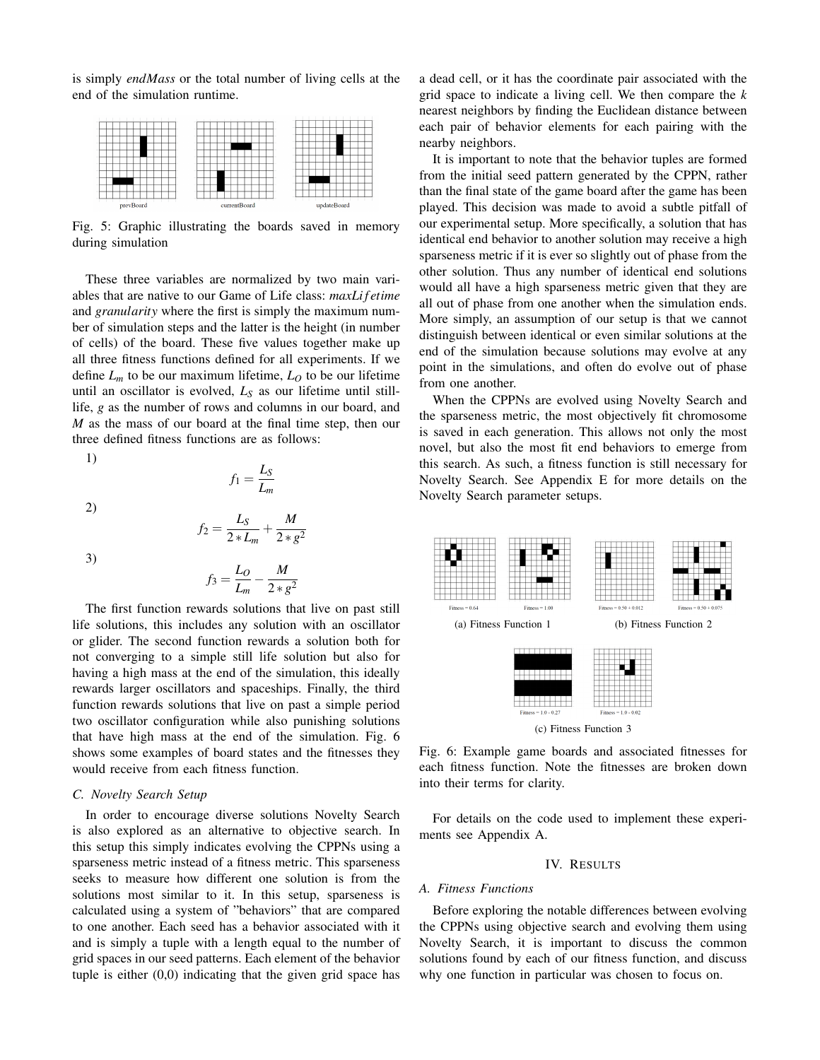is simply *endMass* or the total number of living cells at the end of the simulation runtime.



Fig. 5: Graphic illustrating the boards saved in memory during simulation

These three variables are normalized by two main variables that are native to our Game of Life class: *maxLi f etime* and *granularity* where the first is simply the maximum number of simulation steps and the latter is the height (in number of cells) of the board. These five values together make up all three fitness functions defined for all experiments. If we define  $L_m$  to be our maximum lifetime,  $L_O$  to be our lifetime until an oscillator is evolved, *L<sup>S</sup>* as our lifetime until stilllife, *g* as the number of rows and columns in our board, and *M* as the mass of our board at the final time step, then our three defined fitness functions are as follows:

1)

$$
f_1 =
$$

 $f_2 = \frac{L_S}{2}$ 

*LS Lm*

 $\frac{L_S}{2 * L_m} + \frac{M}{2 * g}$ 

 $2 * g^2$ 

2)

3)

$$
f_3 = \frac{L_O}{L_m} - \frac{M}{2 \times g^2}
$$

The first function rewards solutions that live on past still life solutions, this includes any solution with an oscillator or glider. The second function rewards a solution both for not converging to a simple still life solution but also for having a high mass at the end of the simulation, this ideally rewards larger oscillators and spaceships. Finally, the third function rewards solutions that live on past a simple period two oscillator configuration while also punishing solutions that have high mass at the end of the simulation. Fig. 6 shows some examples of board states and the fitnesses they would receive from each fitness function.

## *C. Novelty Search Setup*

In order to encourage diverse solutions Novelty Search is also explored as an alternative to objective search. In this setup this simply indicates evolving the CPPNs using a sparseness metric instead of a fitness metric. This sparseness seeks to measure how different one solution is from the solutions most similar to it. In this setup, sparseness is calculated using a system of "behaviors" that are compared to one another. Each seed has a behavior associated with it and is simply a tuple with a length equal to the number of grid spaces in our seed patterns. Each element of the behavior tuple is either (0,0) indicating that the given grid space has

a dead cell, or it has the coordinate pair associated with the grid space to indicate a living cell. We then compare the *k* nearest neighbors by finding the Euclidean distance between each pair of behavior elements for each pairing with the nearby neighbors.

It is important to note that the behavior tuples are formed from the initial seed pattern generated by the CPPN, rather than the final state of the game board after the game has been played. This decision was made to avoid a subtle pitfall of our experimental setup. More specifically, a solution that has identical end behavior to another solution may receive a high sparseness metric if it is ever so slightly out of phase from the other solution. Thus any number of identical end solutions would all have a high sparseness metric given that they are all out of phase from one another when the simulation ends. More simply, an assumption of our setup is that we cannot distinguish between identical or even similar solutions at the end of the simulation because solutions may evolve at any point in the simulations, and often do evolve out of phase from one another.

When the CPPNs are evolved using Novelty Search and the sparseness metric, the most objectively fit chromosome is saved in each generation. This allows not only the most novel, but also the most fit end behaviors to emerge from this search. As such, a fitness function is still necessary for Novelty Search. See Appendix E for more details on the Novelty Search parameter setups.



Fig. 6: Example game boards and associated fitnesses for each fitness function. Note the fitnesses are broken down into their terms for clarity.

For details on the code used to implement these experiments see Appendix A.

#### IV. RESULTS

## *A. Fitness Functions*

Before exploring the notable differences between evolving the CPPNs using objective search and evolving them using Novelty Search, it is important to discuss the common solutions found by each of our fitness function, and discuss why one function in particular was chosen to focus on.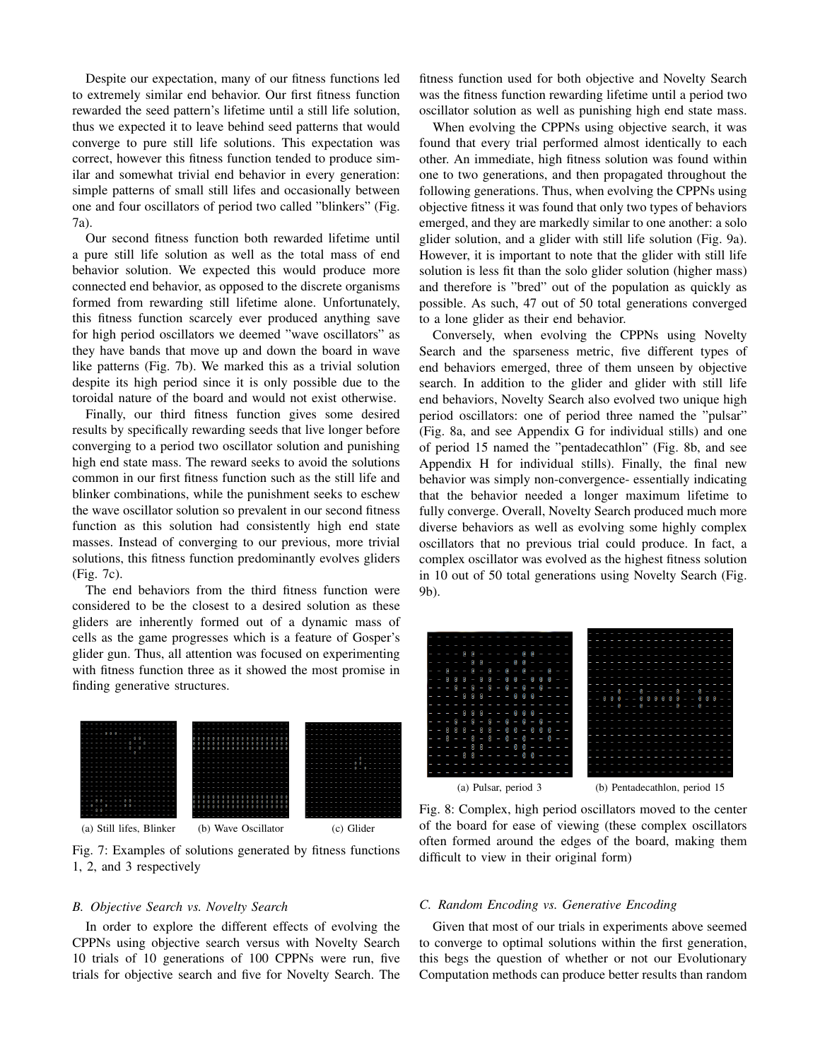Despite our expectation, many of our fitness functions led to extremely similar end behavior. Our first fitness function rewarded the seed pattern's lifetime until a still life solution, thus we expected it to leave behind seed patterns that would converge to pure still life solutions. This expectation was correct, however this fitness function tended to produce similar and somewhat trivial end behavior in every generation: simple patterns of small still lifes and occasionally between one and four oscillators of period two called "blinkers" (Fig. 7a).

Our second fitness function both rewarded lifetime until a pure still life solution as well as the total mass of end behavior solution. We expected this would produce more connected end behavior, as opposed to the discrete organisms formed from rewarding still lifetime alone. Unfortunately, this fitness function scarcely ever produced anything save for high period oscillators we deemed "wave oscillators" as they have bands that move up and down the board in wave like patterns (Fig. 7b). We marked this as a trivial solution despite its high period since it is only possible due to the toroidal nature of the board and would not exist otherwise.

Finally, our third fitness function gives some desired results by specifically rewarding seeds that live longer before converging to a period two oscillator solution and punishing high end state mass. The reward seeks to avoid the solutions common in our first fitness function such as the still life and blinker combinations, while the punishment seeks to eschew the wave oscillator solution so prevalent in our second fitness function as this solution had consistently high end state masses. Instead of converging to our previous, more trivial solutions, this fitness function predominantly evolves gliders (Fig. 7c).

The end behaviors from the third fitness function were considered to be the closest to a desired solution as these gliders are inherently formed out of a dynamic mass of cells as the game progresses which is a feature of Gosper's glider gun. Thus, all attention was focused on experimenting with fitness function three as it showed the most promise in finding generative structures.



Fig. 7: Examples of solutions generated by fitness functions

1, 2, and 3 respectively

#### *B. Objective Search vs. Novelty Search*

In order to explore the different effects of evolving the CPPNs using objective search versus with Novelty Search 10 trials of 10 generations of 100 CPPNs were run, five trials for objective search and five for Novelty Search. The

fitness function used for both objective and Novelty Search was the fitness function rewarding lifetime until a period two oscillator solution as well as punishing high end state mass.

When evolving the CPPNs using objective search, it was found that every trial performed almost identically to each other. An immediate, high fitness solution was found within one to two generations, and then propagated throughout the following generations. Thus, when evolving the CPPNs using objective fitness it was found that only two types of behaviors emerged, and they are markedly similar to one another: a solo glider solution, and a glider with still life solution (Fig. 9a). However, it is important to note that the glider with still life solution is less fit than the solo glider solution (higher mass) and therefore is "bred" out of the population as quickly as possible. As such, 47 out of 50 total generations converged to a lone glider as their end behavior.

Conversely, when evolving the CPPNs using Novelty Search and the sparseness metric, five different types of end behaviors emerged, three of them unseen by objective search. In addition to the glider and glider with still life end behaviors, Novelty Search also evolved two unique high period oscillators: one of period three named the "pulsar" (Fig. 8a, and see Appendix G for individual stills) and one of period 15 named the "pentadecathlon" (Fig. 8b, and see Appendix H for individual stills). Finally, the final new behavior was simply non-convergence- essentially indicating that the behavior needed a longer maximum lifetime to fully converge. Overall, Novelty Search produced much more diverse behaviors as well as evolving some highly complex oscillators that no previous trial could produce. In fact, a complex oscillator was evolved as the highest fitness solution in 10 out of 50 total generations using Novelty Search (Fig. 9b).

|  | a       | $\overline{\phantom{a}}$ |   |        |   |   |     |         |          |
|--|---------|--------------------------|---|--------|---|---|-----|---------|----------|
|  |         |                          | a | a      | R | a |     |         |          |
|  |         |                          |   |        |   | ß |     |         |          |
|  |         |                          |   |        |   |   |     |         |          |
|  |         |                          |   |        |   |   |     |         |          |
|  |         |                          |   |        |   |   |     |         |          |
|  |         |                          |   |        |   |   |     |         |          |
|  |         |                          |   |        |   |   |     |         |          |
|  |         |                          |   |        |   |   |     |         |          |
|  |         |                          |   |        |   |   |     |         |          |
|  |         |                          |   |        |   |   |     |         |          |
|  |         |                          |   |        |   |   |     |         |          |
|  | ß.<br>ß |                          |   | ß<br>a |   | a | --- | $a = -$ | ß.<br>ß. |

Fig. 8: Complex, high period oscillators moved to the center of the board for ease of viewing (these complex oscillators often formed around the edges of the board, making them difficult to view in their original form)

## *C. Random Encoding vs. Generative Encoding*

Given that most of our trials in experiments above seemed to converge to optimal solutions within the first generation, this begs the question of whether or not our Evolutionary Computation methods can produce better results than random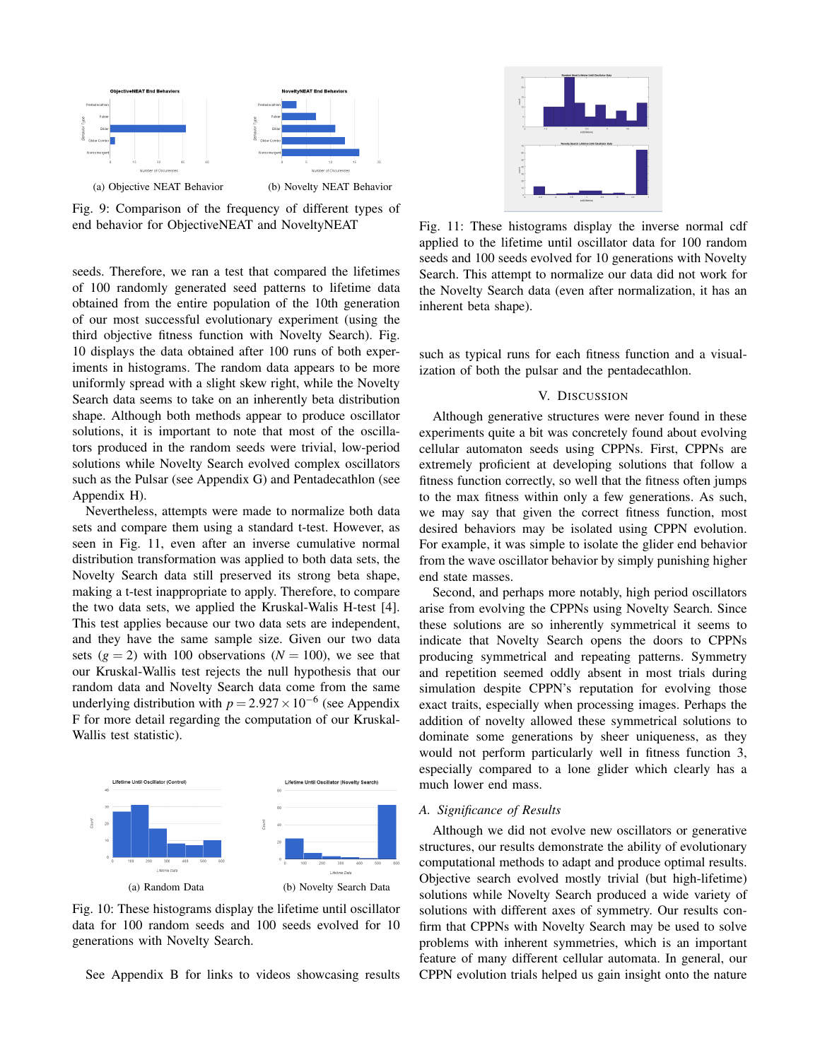

Fig. 9: Comparison of the frequency of different types of end behavior for ObjectiveNEAT and NoveltyNEAT

seeds. Therefore, we ran a test that compared the lifetimes of 100 randomly generated seed patterns to lifetime data obtained from the entire population of the 10th generation of our most successful evolutionary experiment (using the third objective fitness function with Novelty Search). Fig. 10 displays the data obtained after 100 runs of both experiments in histograms. The random data appears to be more uniformly spread with a slight skew right, while the Novelty Search data seems to take on an inherently beta distribution shape. Although both methods appear to produce oscillator solutions, it is important to note that most of the oscillators produced in the random seeds were trivial, low-period solutions while Novelty Search evolved complex oscillators such as the Pulsar (see Appendix G) and Pentadecathlon (see Appendix H).

Nevertheless, attempts were made to normalize both data sets and compare them using a standard t-test. However, as seen in Fig. 11, even after an inverse cumulative normal distribution transformation was applied to both data sets, the Novelty Search data still preserved its strong beta shape, making a t-test inappropriate to apply. Therefore, to compare the two data sets, we applied the Kruskal-Walis H-test [4]. This test applies because our two data sets are independent, and they have the same sample size. Given our two data sets  $(g = 2)$  with 100 observations  $(N = 100)$ , we see that our Kruskal-Wallis test rejects the null hypothesis that our random data and Novelty Search data come from the same underlying distribution with  $p = 2.927 \times 10^{-6}$  (see Appendix F for more detail regarding the computation of our Kruskal-Wallis test statistic).



Fig. 10: These histograms display the lifetime until oscillator data for 100 random seeds and 100 seeds evolved for 10 generations with Novelty Search.

See Appendix B for links to videos showcasing results



Fig. 11: These histograms display the inverse normal cdf applied to the lifetime until oscillator data for 100 random seeds and 100 seeds evolved for 10 generations with Novelty Search. This attempt to normalize our data did not work for the Novelty Search data (even after normalization, it has an inherent beta shape).

such as typical runs for each fitness function and a visualization of both the pulsar and the pentadecathlon.

## V. DISCUSSION

Although generative structures were never found in these experiments quite a bit was concretely found about evolving cellular automaton seeds using CPPNs. First, CPPNs are extremely proficient at developing solutions that follow a fitness function correctly, so well that the fitness often jumps to the max fitness within only a few generations. As such, we may say that given the correct fitness function, most desired behaviors may be isolated using CPPN evolution. For example, it was simple to isolate the glider end behavior from the wave oscillator behavior by simply punishing higher end state masses.

Second, and perhaps more notably, high period oscillators arise from evolving the CPPNs using Novelty Search. Since these solutions are so inherently symmetrical it seems to indicate that Novelty Search opens the doors to CPPNs producing symmetrical and repeating patterns. Symmetry and repetition seemed oddly absent in most trials during simulation despite CPPN's reputation for evolving those exact traits, especially when processing images. Perhaps the addition of novelty allowed these symmetrical solutions to dominate some generations by sheer uniqueness, as they would not perform particularly well in fitness function 3, especially compared to a lone glider which clearly has a much lower end mass.

#### *A. Significance of Results*

Although we did not evolve new oscillators or generative structures, our results demonstrate the ability of evolutionary computational methods to adapt and produce optimal results. Objective search evolved mostly trivial (but high-lifetime) solutions while Novelty Search produced a wide variety of solutions with different axes of symmetry. Our results confirm that CPPNs with Novelty Search may be used to solve problems with inherent symmetries, which is an important feature of many different cellular automata. In general, our CPPN evolution trials helped us gain insight onto the nature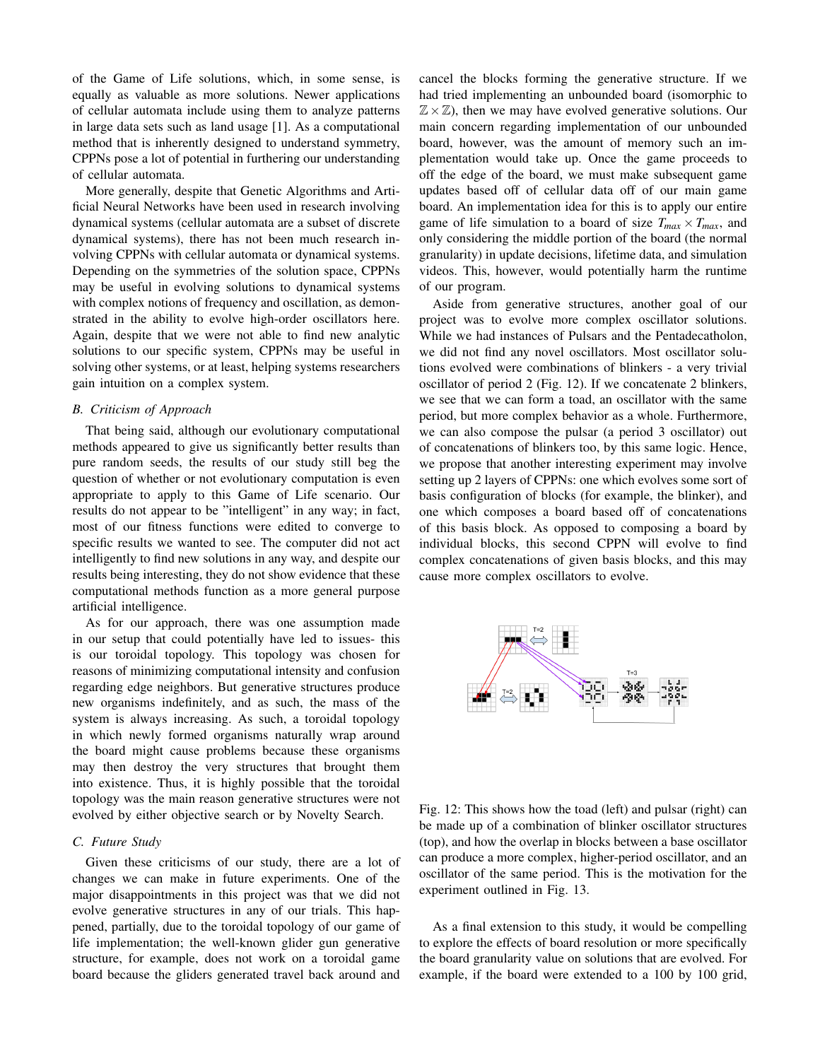of the Game of Life solutions, which, in some sense, is equally as valuable as more solutions. Newer applications of cellular automata include using them to analyze patterns in large data sets such as land usage [1]. As a computational method that is inherently designed to understand symmetry, CPPNs pose a lot of potential in furthering our understanding of cellular automata.

More generally, despite that Genetic Algorithms and Artificial Neural Networks have been used in research involving dynamical systems (cellular automata are a subset of discrete dynamical systems), there has not been much research involving CPPNs with cellular automata or dynamical systems. Depending on the symmetries of the solution space, CPPNs may be useful in evolving solutions to dynamical systems with complex notions of frequency and oscillation, as demonstrated in the ability to evolve high-order oscillators here. Again, despite that we were not able to find new analytic solutions to our specific system, CPPNs may be useful in solving other systems, or at least, helping systems researchers gain intuition on a complex system.

## *B. Criticism of Approach*

That being said, although our evolutionary computational methods appeared to give us significantly better results than pure random seeds, the results of our study still beg the question of whether or not evolutionary computation is even appropriate to apply to this Game of Life scenario. Our results do not appear to be "intelligent" in any way; in fact, most of our fitness functions were edited to converge to specific results we wanted to see. The computer did not act intelligently to find new solutions in any way, and despite our results being interesting, they do not show evidence that these computational methods function as a more general purpose artificial intelligence.

As for our approach, there was one assumption made in our setup that could potentially have led to issues- this is our toroidal topology. This topology was chosen for reasons of minimizing computational intensity and confusion regarding edge neighbors. But generative structures produce new organisms indefinitely, and as such, the mass of the system is always increasing. As such, a toroidal topology in which newly formed organisms naturally wrap around the board might cause problems because these organisms may then destroy the very structures that brought them into existence. Thus, it is highly possible that the toroidal topology was the main reason generative structures were not evolved by either objective search or by Novelty Search.

#### *C. Future Study*

Given these criticisms of our study, there are a lot of changes we can make in future experiments. One of the major disappointments in this project was that we did not evolve generative structures in any of our trials. This happened, partially, due to the toroidal topology of our game of life implementation; the well-known glider gun generative structure, for example, does not work on a toroidal game board because the gliders generated travel back around and cancel the blocks forming the generative structure. If we had tried implementing an unbounded board (isomorphic to  $\mathbb{Z} \times \mathbb{Z}$ ), then we may have evolved generative solutions. Our main concern regarding implementation of our unbounded board, however, was the amount of memory such an implementation would take up. Once the game proceeds to off the edge of the board, we must make subsequent game updates based off of cellular data off of our main game board. An implementation idea for this is to apply our entire game of life simulation to a board of size  $T_{max} \times T_{max}$ , and only considering the middle portion of the board (the normal granularity) in update decisions, lifetime data, and simulation videos. This, however, would potentially harm the runtime of our program.

Aside from generative structures, another goal of our project was to evolve more complex oscillator solutions. While we had instances of Pulsars and the Pentadecatholon, we did not find any novel oscillators. Most oscillator solutions evolved were combinations of blinkers - a very trivial oscillator of period 2 (Fig. 12). If we concatenate 2 blinkers, we see that we can form a toad, an oscillator with the same period, but more complex behavior as a whole. Furthermore, we can also compose the pulsar (a period 3 oscillator) out of concatenations of blinkers too, by this same logic. Hence, we propose that another interesting experiment may involve setting up 2 layers of CPPNs: one which evolves some sort of basis configuration of blocks (for example, the blinker), and one which composes a board based off of concatenations of this basis block. As opposed to composing a board by individual blocks, this second CPPN will evolve to find complex concatenations of given basis blocks, and this may cause more complex oscillators to evolve.



Fig. 12: This shows how the toad (left) and pulsar (right) can be made up of a combination of blinker oscillator structures (top), and how the overlap in blocks between a base oscillator can produce a more complex, higher-period oscillator, and an oscillator of the same period. This is the motivation for the experiment outlined in Fig. 13.

As a final extension to this study, it would be compelling to explore the effects of board resolution or more specifically the board granularity value on solutions that are evolved. For example, if the board were extended to a 100 by 100 grid,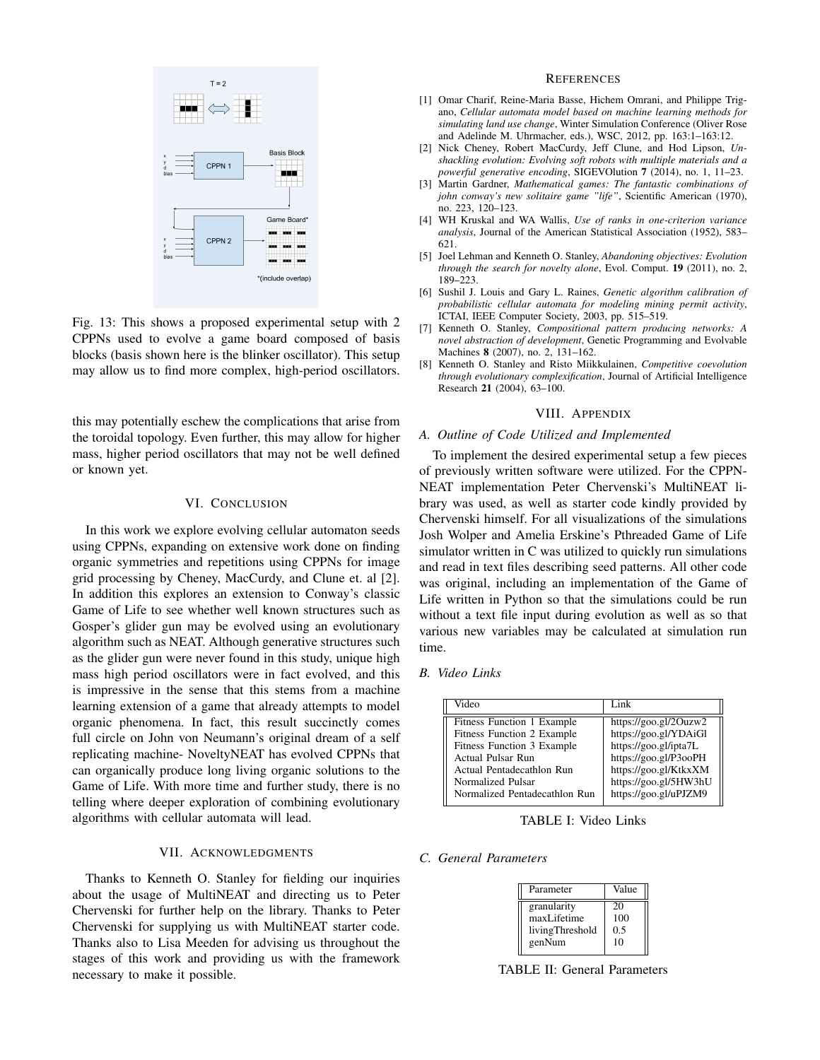

Fig. 13: This shows a proposed experimental setup with 2 CPPNs used to evolve a game board composed of basis blocks (basis shown here is the blinker oscillator). This setup may allow us to find more complex, high-period oscillators.

this may potentially eschew the complications that arise from the toroidal topology. Even further, this may allow for higher mass, higher period oscillators that may not be well defined or known yet.

## VI. CONCLUSION

In this work we explore evolving cellular automaton seeds using CPPNs, expanding on extensive work done on finding organic symmetries and repetitions using CPPNs for image grid processing by Cheney, MacCurdy, and Clune et. al [2]. In addition this explores an extension to Conway's classic Game of Life to see whether well known structures such as Gosper's glider gun may be evolved using an evolutionary algorithm such as NEAT. Although generative structures such as the glider gun were never found in this study, unique high mass high period oscillators were in fact evolved, and this is impressive in the sense that this stems from a machine learning extension of a game that already attempts to model organic phenomena. In fact, this result succinctly comes full circle on John von Neumann's original dream of a self replicating machine- NoveltyNEAT has evolved CPPNs that can organically produce long living organic solutions to the Game of Life. With more time and further study, there is no telling where deeper exploration of combining evolutionary algorithms with cellular automata will lead.

#### VII. ACKNOWLEDGMENTS

Thanks to Kenneth O. Stanley for fielding our inquiries about the usage of MultiNEAT and directing us to Peter Chervenski for further help on the library. Thanks to Peter Chervenski for supplying us with MultiNEAT starter code. Thanks also to Lisa Meeden for advising us throughout the stages of this work and providing us with the framework necessary to make it possible.

#### **REFERENCES**

- [1] Omar Charif, Reine-Maria Basse, Hichem Omrani, and Philippe Trigano, *Cellular automata model based on machine learning methods for simulating land use change*, Winter Simulation Conference (Oliver Rose and Adelinde M. Uhrmacher, eds.), WSC, 2012, pp. 163:1–163:12.
- [2] Nick Cheney, Robert MacCurdy, Jeff Clune, and Hod Lipson, *Unshackling evolution: Evolving soft robots with multiple materials and a powerful generative encoding*, SIGEVOlution 7 (2014), no. 1, 11–23.
- [3] Martin Gardner, *Mathematical games: The fantastic combinations of john conway's new solitaire game "life"*, Scientific American (1970), no. 223, 120–123.
- [4] WH Kruskal and WA Wallis, *Use of ranks in one-criterion variance analysis*, Journal of the American Statistical Association (1952), 583– 621.
- [5] Joel Lehman and Kenneth O. Stanley, *Abandoning objectives: Evolution through the search for novelty alone*, Evol. Comput. 19 (2011), no. 2, 189–223.
- [6] Sushil J. Louis and Gary L. Raines, *Genetic algorithm calibration of probabilistic cellular automata for modeling mining permit activity*, ICTAI, IEEE Computer Society, 2003, pp. 515–519.
- [7] Kenneth O. Stanley, *Compositional pattern producing networks: A novel abstraction of development*, Genetic Programming and Evolvable Machines 8 (2007), no. 2, 131–162.
- [8] Kenneth O. Stanley and Risto Miikkulainen, *Competitive coevolution through evolutionary complexification*, Journal of Artificial Intelligence Research 21 (2004), 63–100.

#### VIII. APPENDIX

#### *A. Outline of Code Utilized and Implemented*

To implement the desired experimental setup a few pieces of previously written software were utilized. For the CPPN-NEAT implementation Peter Chervenski's MultiNEAT library was used, as well as starter code kindly provided by Chervenski himself. For all visualizations of the simulations Josh Wolper and Amelia Erskine's Pthreaded Game of Life simulator written in C was utilized to quickly run simulations and read in text files describing seed patterns. All other code was original, including an implementation of the Game of Life written in Python so that the simulations could be run without a text file input during evolution as well as so that various new variables may be calculated at simulation run time.

*B. Video Links*

| Video                         | Link                  |
|-------------------------------|-----------------------|
| Fitness Function 1 Example    | https://goo.gl/2Ouzw2 |
| Fitness Function 2 Example    | https://goo.gl/YDAiGl |
| Fitness Function 3 Example    | https://goo.gl/ipta7L |
| Actual Pulsar Run             | https://goo.gl/P3ooPH |
| Actual Pentadecathlon Run     | https://goo.gl/KtkxXM |
| Normalized Pulsar             | https://goo.gl/5HW3hU |
| Normalized Pentadecathlon Run | https://goo.gl/uPJZM9 |

TABLE I: Video Links

#### *C. General Parameters*

| Parameter       | Value |
|-----------------|-------|
| granularity     | 20    |
| maxLifetime     | 100   |
| livingThreshold | 0.5   |
| genNum          | 10    |

TABLE II: General Parameters